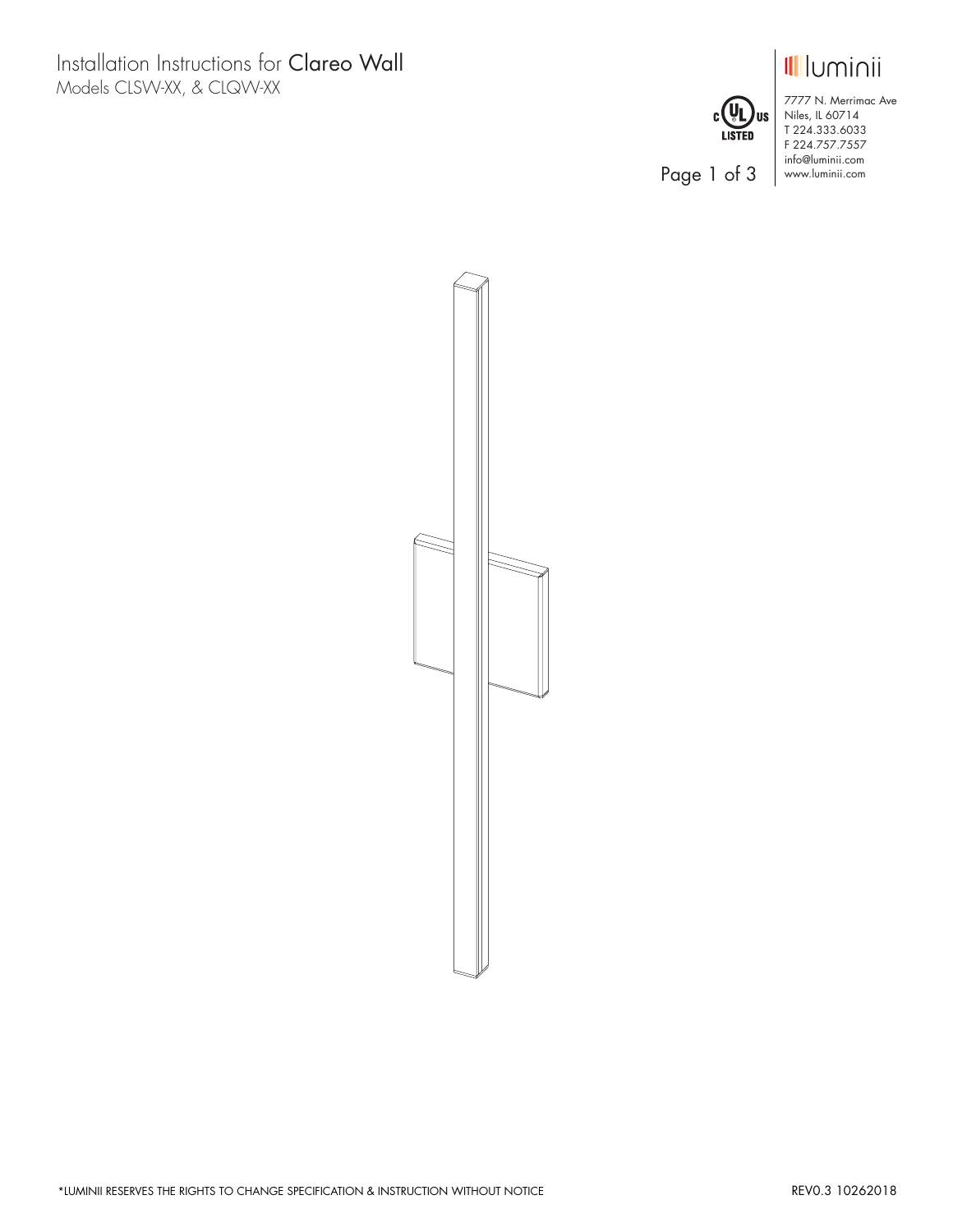Installation Instructions for Clareo Wall Models CLSW-XX, & CLQW-XX



7777 N. Merrimac Ave Niles, IL 60714 T 224.333.6033 F 224.757.7557 info@luminii.com Page 1 of 3 | www.luminii.com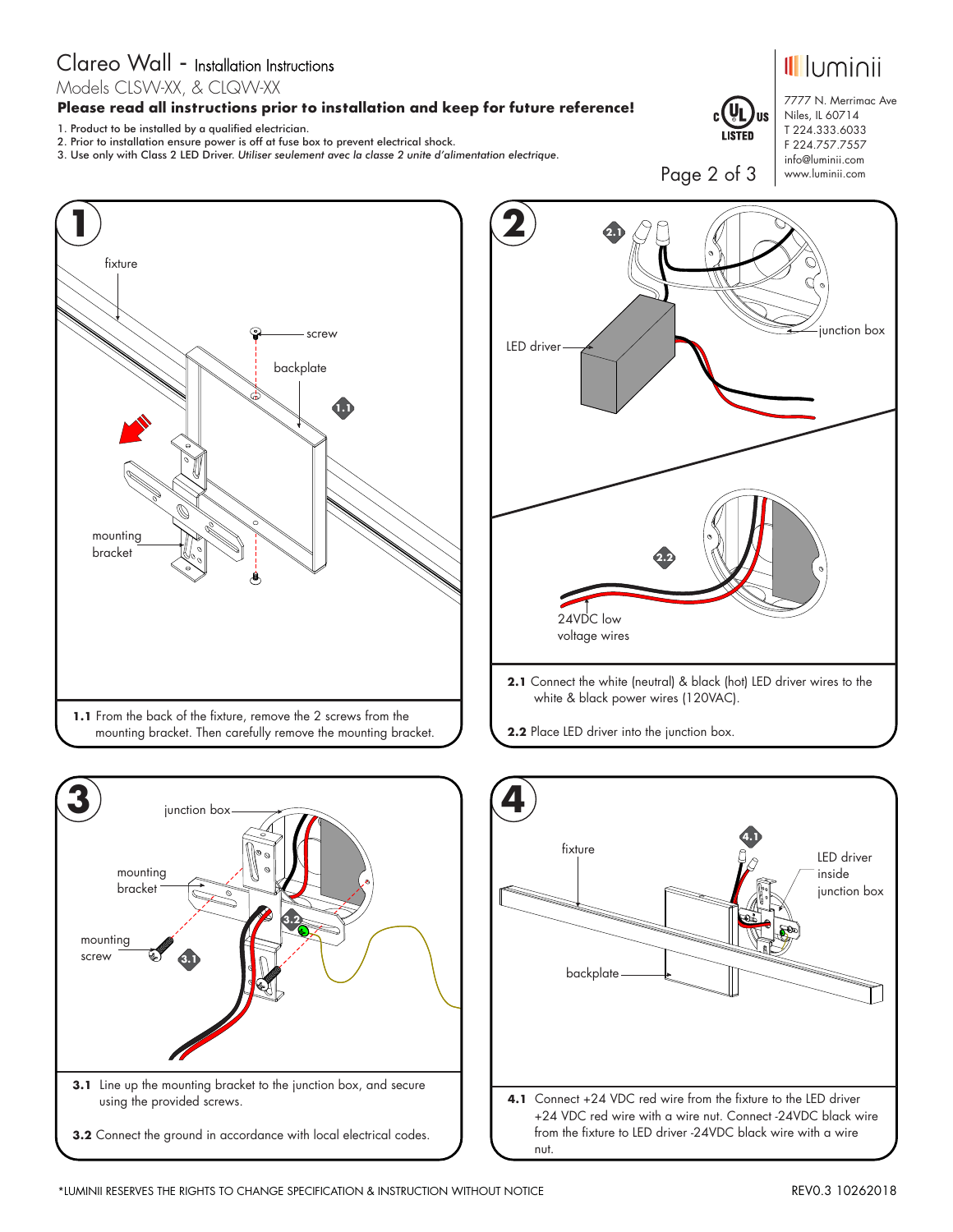## Clareo Wall - Installation Instructions

### Models CLSW-XX, & CLQW-XX

**1**

#### **Please read all instructions prior to installation and keep for future reference!**

- 1. Product to be installed by a qualified electrician.
- 2. Prior to installation ensure power is off at fuse box to prevent electrical shock.
- 3. Use only with Class 2 LED Driver. *Utiliser seulement avec la classe 2 unite d'alimentation electrique.*



- **2.1** Connect the white (neutral) & black (hot) LED driver wires to the white & black power wires (120VAC).
- 2.2 Place LED driver into the junction box.

24VDC low voltage wires



# fixture screw backplate **1.1** mounting bracket ۸

**1.1** From the back of the fixture, remove the 2 screws from the mounting bracket. Then carefully remove the mounting bracket.



# **Illuminii**

7777 N. Merrimac Ave Niles, IL 60714 T 224.333.6033 F 224.757.7557 info@luminii.com

**US**